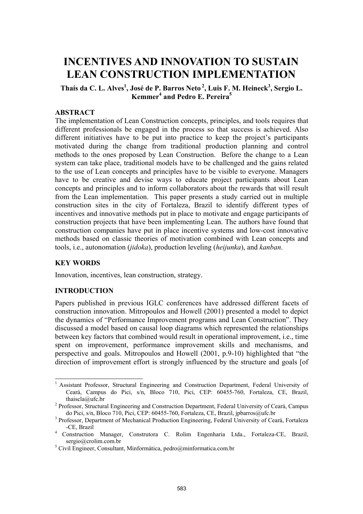# **INCENTIVES AND INNOVATION TO SUSTAIN LEAN CONSTRUCTION IMPLEMENTATION**

Thaís da C. L. Alves<sup>1</sup>, José de P. Barros Neto<sup>2</sup>, Luis F. M. Heineck<sup>3</sup>, Sergio L. **Kemmer4 and Pedro E. Pereira5**

# **ABSTRACT**

The implementation of Lean Construction concepts, principles, and tools requires that different professionals be engaged in the process so that success is achieved. Also different initiatives have to be put into practice to keep the project's participants motivated during the change from traditional production planning and control methods to the ones proposed by Lean Construction. Before the change to a Lean system can take place, traditional models have to be challenged and the gains related to the use of Lean concepts and principles have to be visible to everyone. Managers have to be creative and devise ways to educate project participants about Lean concepts and principles and to inform collaborators about the rewards that will result from the Lean implementation. This paper presents a study carried out in multiple construction sites in the city of Fortaleza, Brazil to identify different types of incentives and innovative methods put in place to motivate and engage participants of construction projects that have been implementing Lean. The authors have found that construction companies have put in place incentive systems and low-cost innovative methods based on classic theories of motivation combined with Lean concepts and tools, i.e., autonomation (*jidoka*), production leveling (*heijunka*), and *kanban*.

#### **KEY WORDS**

l

Innovation, incentives, lean construction, strategy.

#### **INTRODUCTION**

Papers published in previous IGLC conferences have addressed different facets of construction innovation. Mitropoulos and Howell (2001) presented a model to depict the dynamics of "Performance Improvement programs and Lean Construction". They discussed a model based on causal loop diagrams which represented the relationships between key factors that combined would result in operational improvement, i.e., time spent on improvement, performance improvement skills and mechanisms, and perspective and goals. Mitropoulos and Howell (2001, p.9-10) highlighted that "the direction of improvement effort is strongly influenced by the structure and goals [of

<sup>&</sup>lt;sup>1</sup> Assistant Professor, Structural Engineering and Construction Department, Federal University of Ceará, Campus do Pici, s/n, Bloco 710, Pici, CEP: 60455-760, Fortaleza, CE, Brazil, thaiscla@ufc.br<br><sup>2</sup> Professor, Structural Engineering and Construction Department, Federal University of Ceará, Campus

do Pici, s/n, Bloco 710, Pici, CEP: 60455-760, Fortaleza, CE, Brazil, jpbarros@ufc.br

<sup>&</sup>lt;sup>3</sup> Professor, Department of Mechanical Production Engineering, Federal University of Ceará, Fortaleza -CE, Brazil 4 Construction Manager, Construtora C. Rolim Engenharia Ltda., Fortaleza-CE, Brazil,

sergio@crolim.com.br

<sup>&</sup>lt;sup>5</sup> Civil Engineer, Consultant, Minformática, pedro@minformatica.com.br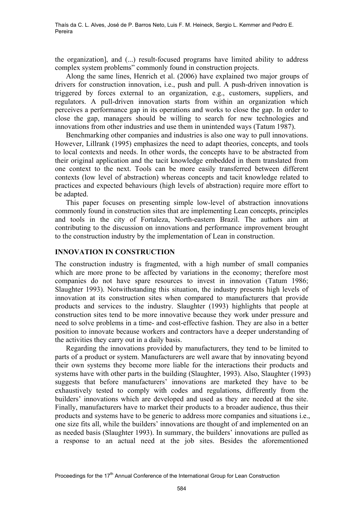the organization], and (...) result-focused programs have limited ability to address complex system problems" commonly found in construction projects.

Along the same lines, Henrich et al. (2006) have explained two major groups of drivers for construction innovation, i.e., push and pull. A push-driven innovation is triggered by forces external to an organization, e.g., customers, suppliers, and regulators. A pull-driven innovation starts from within an organization which perceives a performance gap in its operations and works to close the gap. In order to close the gap, managers should be willing to search for new technologies and innovations from other industries and use them in unintended ways (Tatum 1987).

Benchmarking other companies and industries is also one way to pull innovations. However, Lillrank (1995) emphasizes the need to adapt theories, concepts, and tools to local contexts and needs. In other words, the concepts have to be abstracted from their original application and the tacit knowledge embedded in them translated from one context to the next. Tools can be more easily transferred between different contexts (low level of abstraction) whereas concepts and tacit knowledge related to practices and expected behaviours (high levels of abstraction) require more effort to be adapted.

This paper focuses on presenting simple low-level of abstraction innovations commonly found in construction sites that are implementing Lean concepts, principles and tools in the city of Fortaleza, North-eastern Brazil. The authors aim at contributing to the discussion on innovations and performance improvement brought to the construction industry by the implementation of Lean in construction.

#### **INNOVATION IN CONSTRUCTION**

The construction industry is fragmented, with a high number of small companies which are more prone to be affected by variations in the economy; therefore most companies do not have spare resources to invest in innovation (Tatum 1986; Slaughter 1993). Notwithstanding this situation, the industry presents high levels of innovation at its construction sites when compared to manufacturers that provide products and services to the industry. Slaughter (1993) highlights that people at construction sites tend to be more innovative because they work under pressure and need to solve problems in a time- and cost-effective fashion. They are also in a better position to innovate because workers and contractors have a deeper understanding of the activities they carry out in a daily basis.

Regarding the innovations provided by manufacturers, they tend to be limited to parts of a product or system. Manufacturers are well aware that by innovating beyond their own systems they become more liable for the interactions their products and systems have with other parts in the building (Slaughter, 1993). Also, Slaughter (1993) suggests that before manufacturers' innovations are marketed they have to be exhaustively tested to comply with codes and regulations, differently from the builders' innovations which are developed and used as they are needed at the site. Finally, manufacturers have to market their products to a broader audience, thus their products and systems have to be generic to address more companies and situations i.e., one size fits all, while the builders' innovations are thought of and implemented on an as needed basis (Slaughter 1993). In summary, the builders' innovations are pulled as a response to an actual need at the job sites. Besides the aforementioned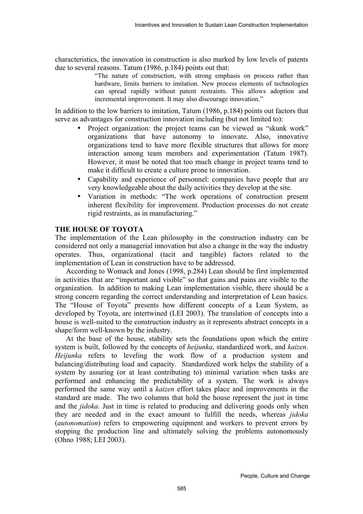characteristics, the innovation in construction is also marked by low levels of patents due to several reasons. Tatum (1986, p.184) points out that:

> "The nature of construction, with strong emphasis on process rather than hardware, limits barriers to imitation. New process elements of technologies can spread rapidly without patent restraints. This allows adoption and incremental improvement. It may also discourage innovation."

In addition to the low barriers to imitation, Tatum (1986, p.184) points out factors that serve as advantages for construction innovation including (but not limited to):

- Project organization: the project teams can be viewed as "skunk work" organizations that have autonomy to innovate. Also, innovative organizations tend to have more flexible structures that allows for more interaction among team members and experimentation (Tatum 1987). However, it must be noted that too much change in project teams tend to make it difficult to create a culture prone to innovation.
- Capability and experience of personnel: companies have people that are very knowledgeable about the daily activities they develop at the site.
- Variation in methods: "The work operations of construction present inherent flexibility for improvement. Production processes do not create rigid restraints, as in manufacturing."

#### **THE HOUSE OF TOYOTA**

The implementation of the Lean philosophy in the construction industry can be considered not only a managerial innovation but also a change in the way the industry operates. Thus, organizational (tacit and tangible) factors related to the implementation of Lean in construction have to be addressed.

According to Womack and Jones (1998, p.284) Lean should be first implemented in activities that are "important and visible" so that gains and pains are visible to the organization. In addition to making Lean implementation visible, there should be a strong concern regarding the correct understanding and interpretation of Lean basics. The "House of Toyota" presents how different concepts of a Lean System, as developed by Toyota, are intertwined (LEI 2003). The translation of concepts into a house is well-suited to the construction industry as it represents abstract concepts in a shape/form well-known by the industry.

At the base of the house, stability sets the foundations upon which the entire system is built, followed by the concepts of *heijunka*, standardized work, and *kaizen*. *Heijunka* refers to leveling the work flow of a production system and balancing/distributing load and capacity. Standardized work helps the stability of a system by assuring (or at least contributing to) minimal variation when tasks are performed and enhancing the predictability of a system. The work is always performed the same way until a *kaizen* effort takes place and improvements in the standard are made. The two columns that hold the house represent the just in time and the *jidoka*. Just in time is related to producing and delivering goods only when they are needed and in the exact amount to fulfill the needs, whereas *jidoka* (*autonomation*) refers to empowering equipment and workers to prevent errors by stopping the production line and ultimately solving the problems autonomously (Ohno 1988; LEI 2003).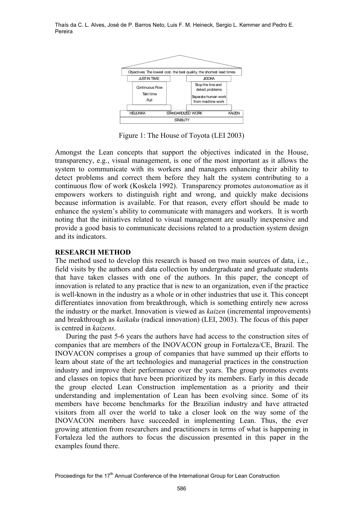

Figure 1: The House of Toyota (LEI 2003)

Amongst the Lean concepts that support the objectives indicated in the House, transparency, e.g., visual management, is one of the most important as it allows the system to communicate with its workers and managers enhancing their ability to detect problems and correct them before they halt the system contributing to a continuous flow of work (Koskela 1992). Transparency promotes *autonomation* as it empowers workers to distinguish right and wrong, and quickly make decisions because information is available. For that reason, every effort should be made to enhance the system's ability to communicate with managers and workers. It is worth noting that the initiatives related to visual management are usually inexpensive and provide a good basis to communicate decisions related to a production system design and its indicators.

#### **RESEARCH METHOD**

The method used to develop this research is based on two main sources of data, i.e., field visits by the authors and data collection by undergraduate and graduate students that have taken classes with one of the authors. In this paper, the concept of innovation is related to any practice that is new to an organization, even if the practice is well-known in the industry as a whole or in other industries that use it. This concept differentiates innovation from breakthrough, which is something entirely new across the industry or the market. Innovation is viewed as *kaizen* (incremental improvements) and breakthrough as *kaikaku* (radical innovation) (LEI, 2003). The focus of this paper is centred in *kaizens*.

During the past 5-6 years the authors have had access to the construction sites of companies that are members of the INOVACON group in Fortaleza/CE, Brazil. The INOVACON comprises a group of companies that have summed up their efforts to learn about state of the art technologies and managerial practices in the construction industry and improve their performance over the years. The group promotes events and classes on topics that have been prioritized by its members. Early in this decade the group elected Lean Construction implementation as a priority and their understanding and implementation of Lean has been evolving since. Some of its members have become benchmarks for the Brazilian industry and have attracted visitors from all over the world to take a closer look on the way some of the INOVACON members have succeeded in implementing Lean. Thus, the ever growing attention from researchers and practitioners in terms of what is happening in Fortaleza led the authors to focus the discussion presented in this paper in the examples found there.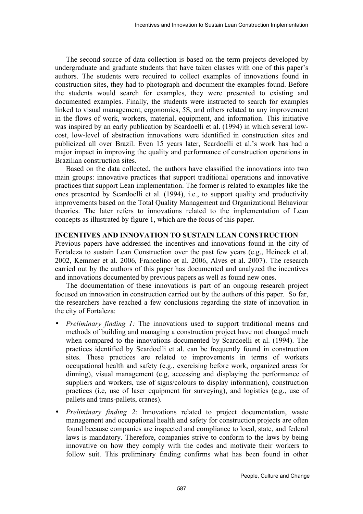The second source of data collection is based on the term projects developed by undergraduate and graduate students that have taken classes with one of this paper's authors. The students were required to collect examples of innovations found in construction sites, they had to photograph and document the examples found. Before the students would search for examples, they were presented to existing and documented examples. Finally, the students were instructed to search for examples linked to visual management, ergonomics, 5S, and others related to any improvement in the flows of work, workers, material, equipment, and information. This initiative was inspired by an early publication by Scardoelli et al. (1994) in which several lowcost, low-level of abstraction innovations were identified in construction sites and publicized all over Brazil. Even 15 years later, Scardoelli et al.'s work has had a major impact in improving the quality and performance of construction operations in Brazilian construction sites.

Based on the data collected, the authors have classified the innovations into two main groups: innovative practices that support traditional operations and innovative practices that support Lean implementation. The former is related to examples like the ones presented by Scardoelli et al. (1994), i.e., to support quality and productivity improvements based on the Total Quality Management and Organizational Behaviour theories. The later refers to innovations related to the implementation of Lean concepts as illustrated by figure 1, which are the focus of this paper.

#### **INCENTIVES AND INNOVATION TO SUSTAIN LEAN CONSTRUCTION**

Previous papers have addressed the incentives and innovations found in the city of Fortaleza to sustain Lean Construction over the past few years (e.g., Heineck et al. 2002, Kemmer et al. 2006, Francelino et al. 2006, Alves et al. 2007). The research carried out by the authors of this paper has documented and analyzed the incentives and innovations documented by previous papers as well as found new ones.

The documentation of these innovations is part of an ongoing research project focused on innovation in construction carried out by the authors of this paper. So far, the researchers have reached a few conclusions regarding the state of innovation in the city of Fortaleza:

- *Preliminary finding 1:* The innovations used to support traditional means and methods of building and managing a construction project have not changed much when compared to the innovations documented by Scardoelli et al. (1994). The practices identified by Scardoelli et al. can be frequently found in construction sites. These practices are related to improvements in terms of workers occupational health and safety (e.g., exercising before work, organized areas for dinning), visual management (e.g, accessing and displaying the performance of suppliers and workers, use of signs/colours to display information), construction practices (i.e, use of laser equipment for surveying), and logistics (e.g., use of pallets and trans-pallets, cranes).
- *Preliminary finding 2*: Innovations related to project documentation, waste management and occupational health and safety for construction projects are often found because companies are inspected and compliance to local, state, and federal laws is mandatory. Therefore, companies strive to conform to the laws by being innovative on how they comply with the codes and motivate their workers to follow suit. This preliminary finding confirms what has been found in other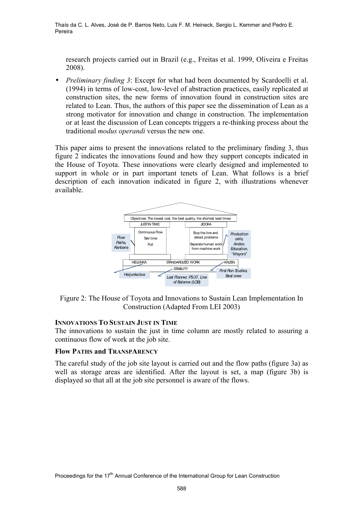research projects carried out in Brazil (e.g., Freitas et al. 1999, Oliveira e Freitas 2008).

• *Preliminary finding 3*: Except for what had been documented by Scardoelli et al. (1994) in terms of low-cost, low-level of abstraction practices, easily replicated at construction sites, the new forms of innovation found in construction sites are related to Lean. Thus, the authors of this paper see the dissemination of Lean as a strong motivator for innovation and change in construction. The implementation or at least the discussion of Lean concepts triggers a re-thinking process about the traditional *modus operandi* versus the new one.

This paper aims to present the innovations related to the preliminary finding 3, thus figure 2 indicates the innovations found and how they support concepts indicated in the House of Toyota. These innovations were clearly designed and implemented to support in whole or in part important tenets of Lean. What follows is a brief description of each innovation indicated in figure 2, with illustrations whenever available.



Figure 2: The House of Toyota and Innovations to Sustain Lean Implementation In Construction (Adapted From LEI 2003)

#### **INNOVATIONS TO SUSTAIN JUST IN TIME**

The innovations to sustain the just in time column are mostly related to assuring a continuous flow of work at the job site.

#### **Flow PATHS and TRANSPARENCY**

The careful study of the job site layout is carried out and the flow paths (figure 3a) as well as storage areas are identified. After the layout is set, a map (figure 3b) is displayed so that all at the job site personnel is aware of the flows.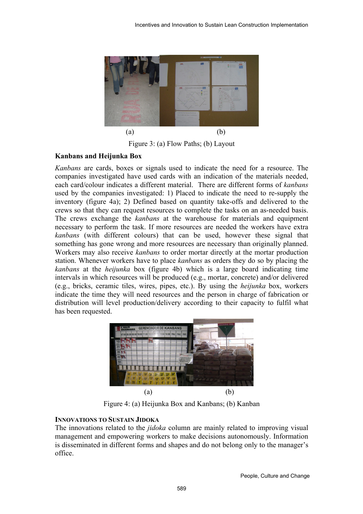

Figure 3: (a) Flow Paths; (b) Layout

# **Kanbans and Heijunka Box**

*Kanbans* are cards, boxes or signals used to indicate the need for a resource. The companies investigated have used cards with an indication of the materials needed, each card/colour indicates a different material. There are different forms of *kanbans* used by the companies investigated: 1) Placed to indicate the need to re-supply the inventory (figure 4a); 2) Defined based on quantity take-offs and delivered to the crews so that they can request resources to complete the tasks on an as-needed basis. The crews exchange the *kanbans* at the warehouse for materials and equipment necessary to perform the task. If more resources are needed the workers have extra *kanbans* (with different colours) that can be used, however these signal that something has gone wrong and more resources are necessary than originally planned. Workers may also receive *kanbans* to order mortar directly at the mortar production station. Whenever workers have to place *kanbans* as orders they do so by placing the *kanbans* at the *heijunka* box (figure 4b) which is a large board indicating time intervals in which resources will be produced (e.g., mortar, concrete) and/or delivered (e.g., bricks, ceramic tiles, wires, pipes, etc.). By using the *heijunka* box, workers indicate the time they will need resources and the person in charge of fabrication or distribution will level production/delivery according to their capacity to fulfil what has been requested.



Figure 4: (a) Heijunka Box and Kanbans; (b) Kanban

# **INNOVATIONS TO SUSTAIN JIDOKA**

The innovations related to the *jidoka* column are mainly related to improving visual management and empowering workers to make decisions autonomously. Information is disseminated in different forms and shapes and do not belong only to the manager's office.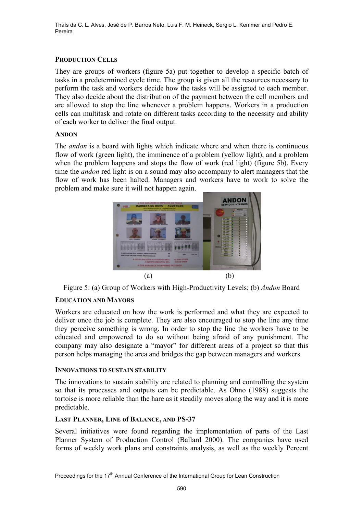# **PRODUCTION CELLS**

They are groups of workers (figure 5a) put together to develop a specific batch of tasks in a predetermined cycle time. The group is given all the resources necessary to perform the task and workers decide how the tasks will be assigned to each member. They also decide about the distribution of the payment between the cell members and are allowed to stop the line whenever a problem happens. Workers in a production cells can multitask and rotate on different tasks according to the necessity and ability of each worker to deliver the final output.

#### **ANDON**

The *andon* is a board with lights which indicate where and when there is continuous flow of work (green light), the imminence of a problem (yellow light), and a problem when the problem happens and stops the flow of work (red light) (figure 5b). Every time the *andon* red light is on a sound may also accompany to alert managers that the flow of work has been halted. Managers and workers have to work to solve the problem and make sure it will not happen again.



Figure 5: (a) Group of Workers with High-Productivity Levels; (b) *Andon* Board

# **EDUCATION AND MAYORS**

Workers are educated on how the work is performed and what they are expected to deliver once the job is complete. They are also encouraged to stop the line any time they perceive something is wrong. In order to stop the line the workers have to be educated and empowered to do so without being afraid of any punishment. The company may also designate a "mayor" for different areas of a project so that this person helps managing the area and bridges the gap between managers and workers.

#### **INNOVATIONS TO SUSTAIN STABILITY**

The innovations to sustain stability are related to planning and controlling the system so that its processes and outputs can be predictable. As Ohno (1988) suggests the tortoise is more reliable than the hare as it steadily moves along the way and it is more predictable.

#### **LAST PLANNER, LINE of BALANCE, AND PS-37**

Several initiatives were found regarding the implementation of parts of the Last Planner System of Production Control (Ballard 2000). The companies have used forms of weekly work plans and constraints analysis, as well as the weekly Percent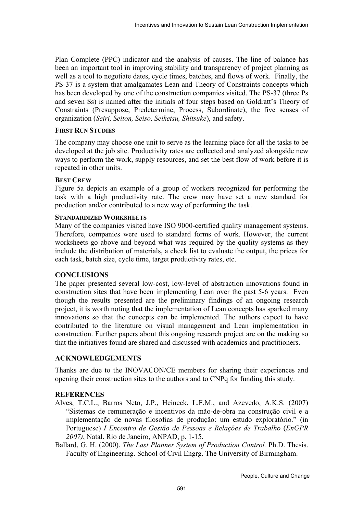Plan Complete (PPC) indicator and the analysis of causes. The line of balance has been an important tool in improving stability and transparency of project planning as well as a tool to negotiate dates, cycle times, batches, and flows of work. Finally, the PS-37 is a system that amalgamates Lean and Theory of Constraints concepts which has been developed by one of the construction companies visited. The PS-37 (three Ps and seven Ss) is named after the initials of four steps based on Goldratt's Theory of Constraints (Presuppose, Predetermine, Process, Subordinate), the five senses of organization (*Seiri, Seiton, Seiso, Seiketsu, Shitsuke*), and safety.

# **FIRST RUN STUDIES**

The company may choose one unit to serve as the learning place for all the tasks to be developed at the job site. Productivity rates are collected and analyzed alongside new ways to perform the work, supply resources, and set the best flow of work before it is repeated in other units.

# **BEST CREW**

Figure 5a depicts an example of a group of workers recognized for performing the task with a high productivity rate. The crew may have set a new standard for production and/or contributed to a new way of performing the task.

# **STANDARDIZED WORKSHEETS**

Many of the companies visited have ISO 9000-certified quality management systems. Therefore, companies were used to standard forms of work. However, the current worksheets go above and beyond what was required by the quality systems as they include the distribution of materials, a check list to evaluate the output, the prices for each task, batch size, cycle time, target productivity rates, etc.

# **CONCLUSIONS**

The paper presented several low-cost, low-level of abstraction innovations found in construction sites that have been implementing Lean over the past 5-6 years. Even though the results presented are the preliminary findings of an ongoing research project, it is worth noting that the implementation of Lean concepts has sparked many innovations so that the concepts can be implemented. The authors expect to have contributed to the literature on visual management and Lean implementation in construction. Further papers about this ongoing research project are on the making so that the initiatives found are shared and discussed with academics and practitioners.

# **ACKNOWLEDGEMENTS**

Thanks are due to the INOVACON/CE members for sharing their experiences and opening their construction sites to the authors and to CNPq for funding this study.

# **REFERENCES**

- Alves, T.C.L., Barros Neto, J.P., Heineck, L.F.M., and Azevedo, A.K.S. (2007) "Sistemas de remuneração e incentivos da mão-de-obra na construção civil e a implementação de novas filosofias de produção: um estudo exploratório." (in Portuguese) *I Encontro de Gestão de Pessoas e Relações de Trabalho* (*EnGPR 2007)*, Natal. Rio de Janeiro, ANPAD, p. 1-15.
- Ballard, G. H. (2000). *The Last Planner System of Production Control.* Ph.D. Thesis. Faculty of Engineering. School of Civil Engrg. The University of Birmingham.